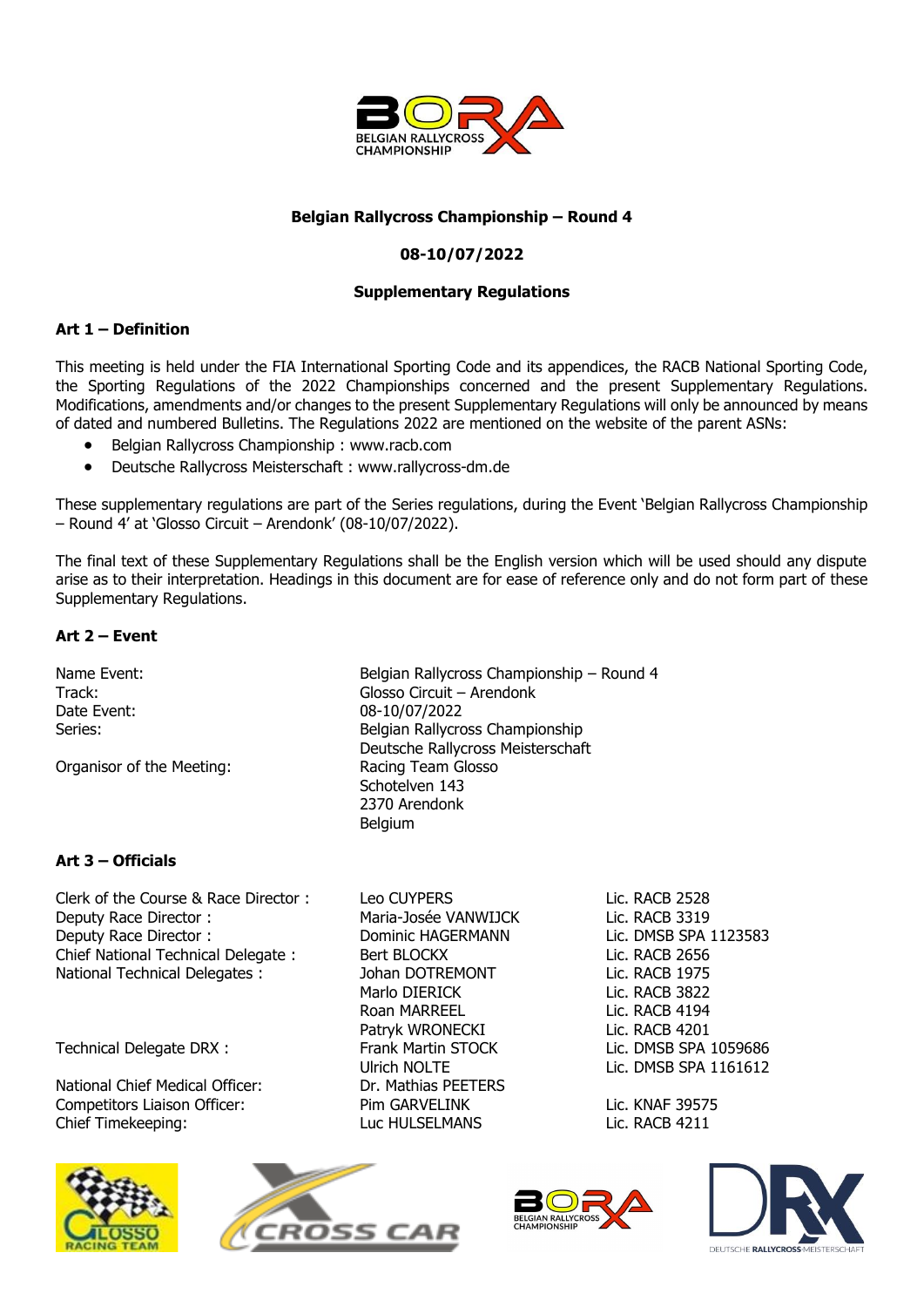

#### **Belgian Rallycross Championship – Round 4**

### **08-10/07/2022**

#### **Supplementary Regulations**

#### **Art 1 – Definition**

This meeting is held under the FIA International Sporting Code and its appendices, the RACB National Sporting Code, the Sporting Regulations of the 2022 Championships concerned and the present Supplementary Regulations. Modifications, amendments and/or changes to the present Supplementary Regulations will only be announced by means of dated and numbered Bulletins. The Regulations 2022 are mentioned on the website of the parent ASNs:

- Belgian Rallycross Championship : [www.racb.com](http://www.racb.com/)
- Deutsche Rallycross Meisterschaft : www.rallycross-dm.de

These supplementary regulations are part of the Series regulations, during the Event 'Belgian Rallycross Championship – Round 4' at 'Glosso Circuit – Arendonk' (08-10/07/2022).

The final text of these Supplementary Regulations shall be the English version which will be used should any dispute arise as to their interpretation. Headings in this document are for ease of reference only and do not form part of these Supplementary Regulations.

#### **Art 2 – Event**

Organisor of the Meeting: Racing Team Glosso

Name Event: Name Event: Relation Rallycross Championship – Round 4 Track: Glosso Circuit – Arendonk Date Event: 08-10/07/2022 Series: Series: Series: Series: Series: Series: Series: Series: Series: Series: Series: Series: Series: Series Deutsche Rallycross Meisterschaft Schotelven 143 2370 Arendonk Belgium

#### **Art 3 – Officials**

Clerk of the Course & Race Director : Leo CUYPERS Lic. RACB 2528 Deputy Race Director : Maria-Josée VANWIJCK Lic. RACB 3319 Deputy Race Director : Dominic HAGERMANN Lic. DMSB SPA 1123583 Chief National Technical Delegate : Bert BLOCKX Lic. RACB 2656 National Technical Delegates :  $\qquad \qquad$  Johan DOTREMONT Lic. RACB 1975

National Chief Medical Officer: Dr. Mathias PEETERS Competitors Liaison Officer: Pim GARVELINK Lic. KNAF 39575 Chief Timekeeping: Luc HULSELMANS Lic. RACB 4211









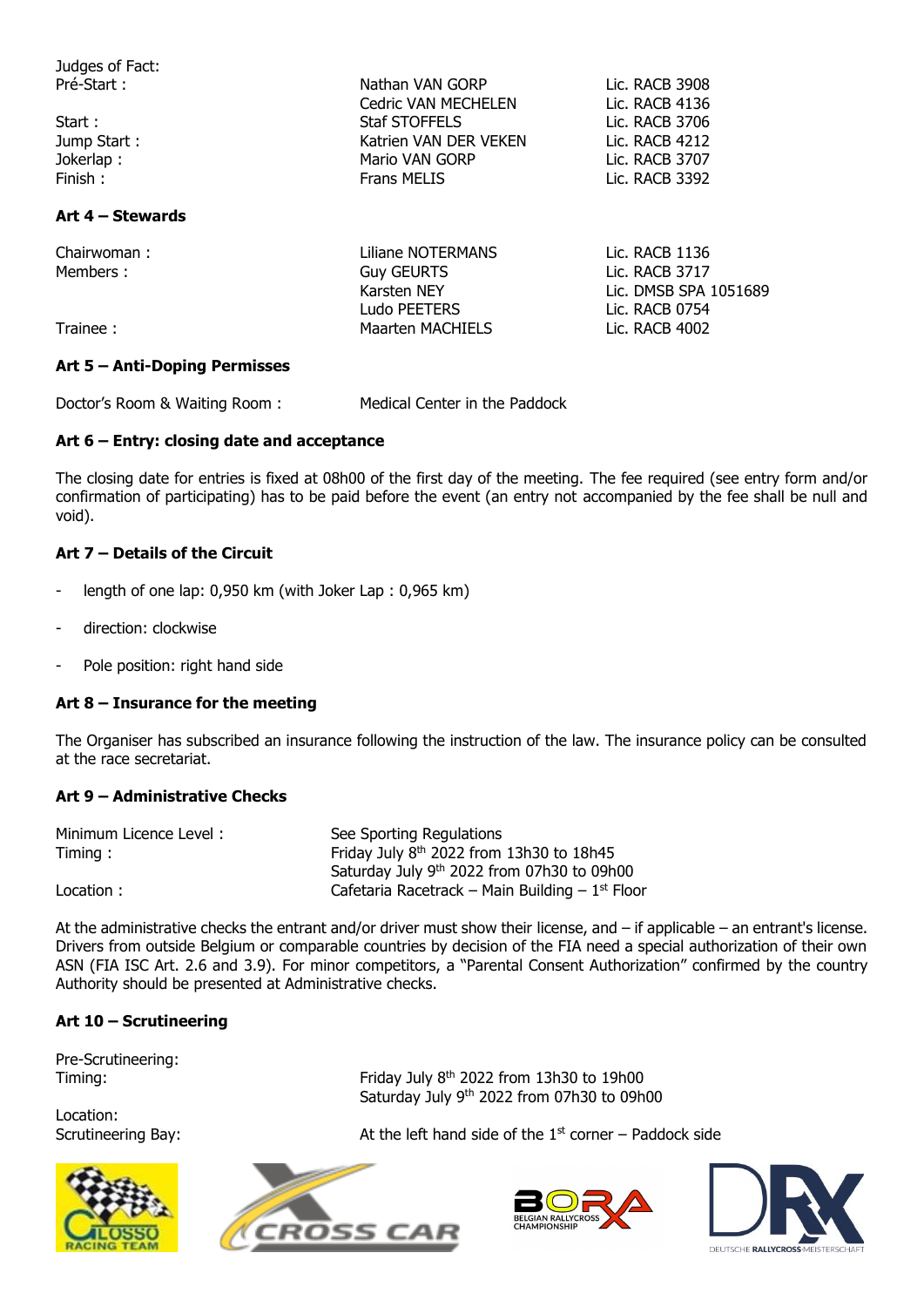| Judges of Fact:  |                            |                       |
|------------------|----------------------------|-----------------------|
| Pré-Start :      | Nathan VAN GORP            | Lic. RACB 3908        |
|                  | <b>Cedric VAN MECHELEN</b> | Lic. RACB 4136        |
| Start:           | Staf STOFFELS              | Lic. RACB 3706        |
| Jump Start:      | Katrien VAN DER VEKEN      | Lic. RACB 4212        |
| Jokerlap:        | Mario VAN GORP             | Lic. RACB 3707        |
| Finish:          | <b>Frans MELIS</b>         | Lic. RACB 3392        |
| Art 4 – Stewards |                            |                       |
| Chairwoman:      | Liliane NOTERMANS          | Lic. RACB 1136        |
| Members:         | <b>Guy GEURTS</b>          | Lic. RACB 3717        |
|                  | Karsten NEY                | Lic. DMSB SPA 1051689 |
|                  | Ludo PEETERS               | Lic. RACB 0754        |
| Trainee:         | <b>Maarten MACHIELS</b>    | Lic. RACB 4002        |

#### **Art 5 – Anti-Doping Permisses**

Doctor's Room & Waiting Room : Medical Center in the Paddock

#### **Art 6 – Entry: closing date and acceptance**

The closing date for entries is fixed at 08h00 of the first day of the meeting. The fee required (see entry form and/or confirmation of participating) has to be paid before the event (an entry not accompanied by the fee shall be null and void).

#### **Art 7 – Details of the Circuit**

- length of one lap: 0,950 km (with Joker Lap : 0,965 km)
- direction: clockwise
- Pole position: right hand side

#### **Art 8 – Insurance for the meeting**

The Organiser has subscribed an insurance following the instruction of the law. The insurance policy can be consulted at the race secretariat.

#### **Art 9 – Administrative Checks**

| Minimum Licence Level: | See Sporting Regulations                          |
|------------------------|---------------------------------------------------|
| Timing:                | Friday July 8th 2022 from 13h30 to 18h45          |
|                        | Saturday July 9th 2022 from 07h30 to 09h00        |
| Location:              | Cafetaria Racetrack – Main Building – $1st$ Floor |

At the administrative checks the entrant and/or driver must show their license, and – if applicable – an entrant's license. Drivers from outside Belgium or comparable countries by decision of the FIA need a special authorization of their own ASN (FIA ISC Art. 2.6 and 3.9). For minor competitors, a "Parental Consent Authorization" confirmed by the country Authority should be presented at Administrative checks.

#### **Art 10 – Scrutineering**

Pre-Scrutineering:

Location:



Timing: Timing: Friday July 8<sup>th</sup> 2022 from 13h30 to 19h00 Saturday July 9th 2022 from 07h30 to 09h00

Scrutineering Bay:  $\begin{array}{ccc} \text{Set} & \text{Set} \\ \text{Set} & \text{Set} \\ \text{Set} & \text{Set} \end{array}$  and side of the 1st corner – Paddock side





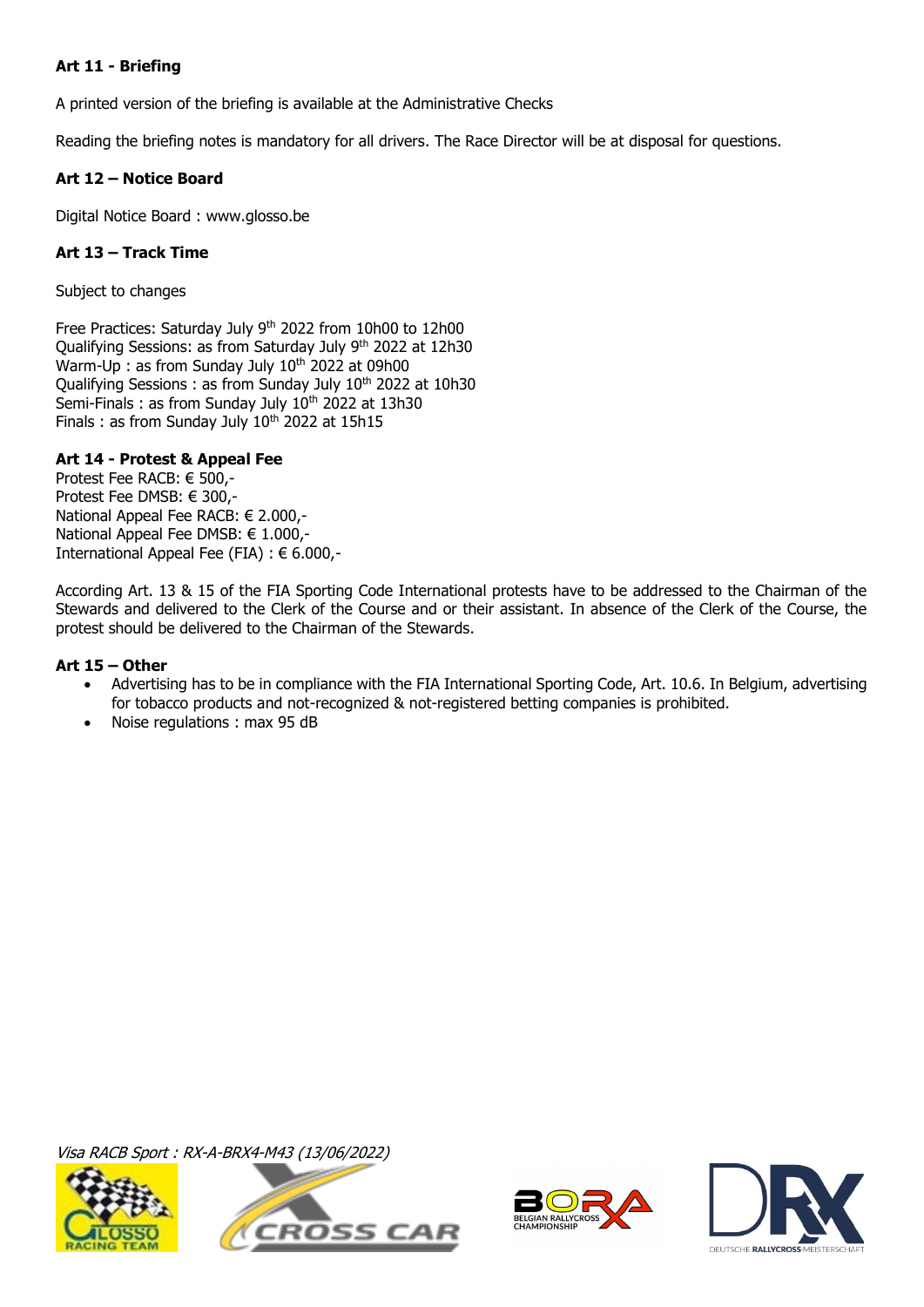#### **Art 11 - Briefing**

A printed version of the briefing is available at the Administrative Checks

Reading the briefing notes is mandatory for all drivers. The Race Director will be at disposal for questions.

#### **Art 12 – Notice Board**

Digital Notice Board : www.glosso.be

#### **Art 13 – Track Time**

Subject to changes

Free Practices: Saturday July 9<sup>th</sup> 2022 from 10h00 to 12h00 Qualifying Sessions: as from Saturday July 9th 2022 at 12h30 Warm-Up : as from Sunday July 10<sup>th</sup> 2022 at 09h00 Qualifying Sessions : as from Sunday July 10<sup>th</sup> 2022 at 10h30 Semi-Finals : as from Sunday July 10<sup>th</sup> 2022 at 13h30 Finals : as from Sunday July  $10<sup>th</sup>$  2022 at 15h15

#### **Art 14 - Protest & Appeal Fee**

Protest Fee RACB: € 500,- Protest Fee DMSB: € 300,- National Appeal Fee RACB: € 2.000,- National Appeal Fee DMSB: € 1.000,- International Appeal Fee (FIA) : € 6.000,-

According Art. 13 & 15 of the FIA Sporting Code International protests have to be addressed to the Chairman of the Stewards and delivered to the Clerk of the Course and or their assistant. In absence of the Clerk of the Course, the protest should be delivered to the Chairman of the Stewards.

#### **Art 15 – Other**

- Advertising has to be in compliance with the FIA International Sporting Code, Art. 10.6. In Belgium, advertising for tobacco products and not-recognized & not-registered betting companies is prohibited.
- Noise regulations : max 95 dB

Visa RACB Sport : RX-A-BRX4-M43 (13/06/2022)







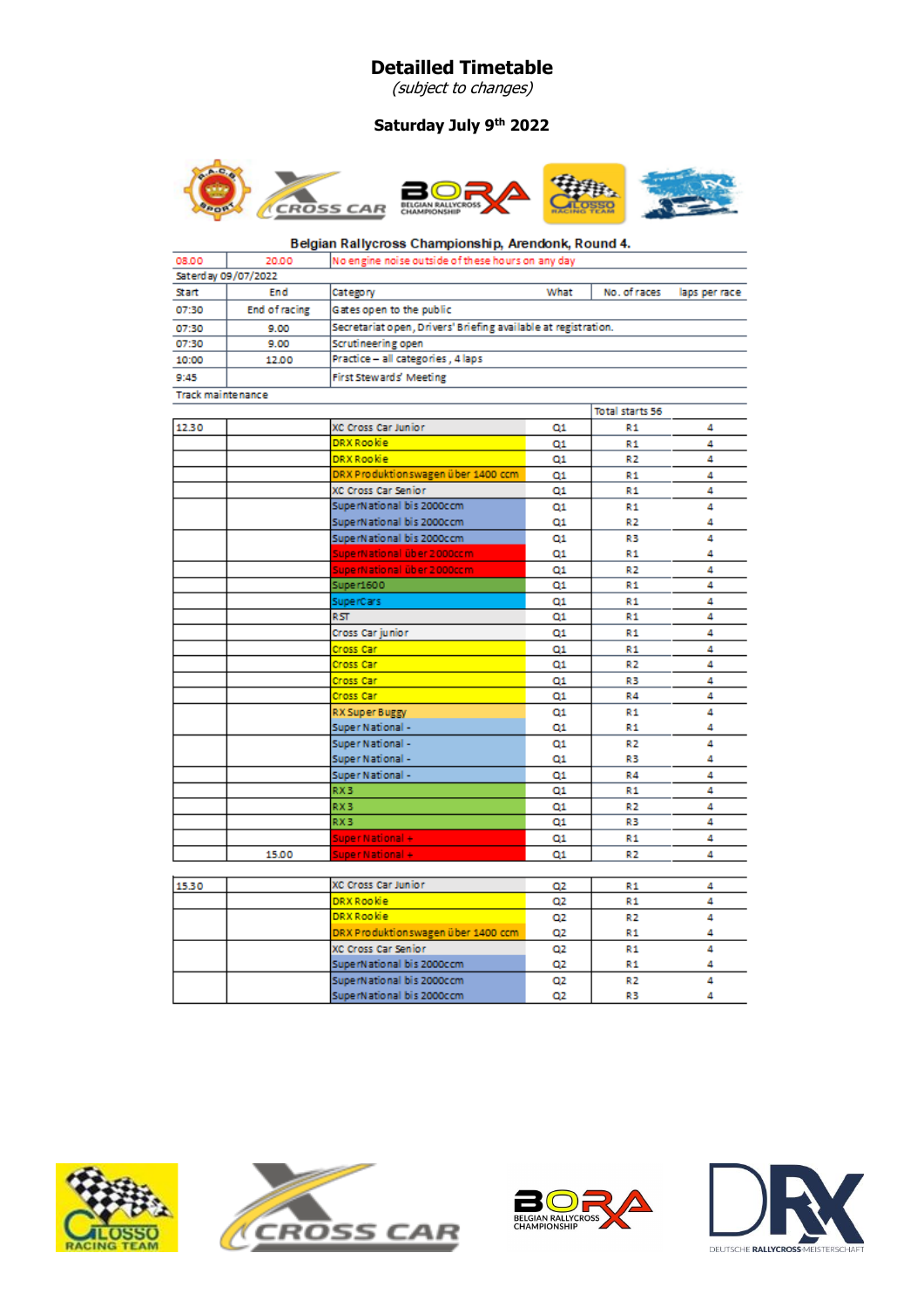# **Detailled Timetable**

(subject to changes)

# **Saturday July 9th 2022**



#### Belgian Rallycross Championship, Arendonk, Round 4.

| 08.00                    | 20.00                | No engine noise outside of these hours on any day              |      |              |               |
|--------------------------|----------------------|----------------------------------------------------------------|------|--------------|---------------|
|                          | Saterday 09/07/2022  |                                                                |      |              |               |
| Start                    | End                  | Category                                                       | What | No. of races | laps per race |
| 07:30                    | <b>End of racing</b> | Gates open to the public                                       |      |              |               |
| 07:30                    | 9.00                 | Secretariat open, Drivers' Briefing available at registration. |      |              |               |
| 07:30                    | 9.00                 | Scrutineering open                                             |      |              |               |
| 10:00                    | 12.00                | Practice - all categories, 4 laps                              |      |              |               |
| 9:45                     |                      | First Stewards' Meeting                                        |      |              |               |
| <b>Track maintenance</b> |                      |                                                                |      |              |               |
|                          |                      |                                                                |      |              |               |

|       |                                    |    | Total starts 56 |   |
|-------|------------------------------------|----|-----------------|---|
| 12.30 | XC Cross Car Junior                | Q1 | R1              | 4 |
|       | <b>DRX Rookie</b>                  | Q1 | R1              | 4 |
|       | <b>DRX Rookie</b>                  | Q1 | R2              | 4 |
|       | DRX Produktionswagen über 1400 ccm | Q1 | R1              | 4 |
|       | XC Cross Car Senior                | Q1 | R1              | 4 |
|       | SuperNational bis 2000ccm          | Q1 | R1              | 4 |
|       | SuperNational bis 2000ccm          | Q1 | R <sub>2</sub>  | 4 |
|       | SuperNational bis 2000ccm          | Q1 | R3              | 4 |
|       | SuperNational über 2000ccm         | Q1 | R1              | 4 |
|       | SuperNational über 2000ccm         | Q1 | R2              | 4 |
|       | Super1600                          | Q1 | R1              | 4 |
|       | SuperCars                          | Q1 | R1              | 4 |
|       | RST.                               | Q1 | R1              | 4 |
|       | Cross Car junior                   | Q1 | R1              | 4 |
|       | Cross Car                          | Q1 | R1              | 4 |
|       | Cross Car                          | Q1 | R2              | 4 |
|       | Cross Car                          | Q1 | R3              | 4 |
|       | Cross Car                          | Q1 | R4              | 4 |
|       | RX Super Buggy                     | 01 | R1              | 4 |
|       | Super National -                   | Q1 | R1              | 4 |
|       | Super National -                   | Q1 | R2              | 4 |
|       | Super National -                   | Q1 | R3              | 4 |
|       | Super National -                   | Q1 | R4              | 4 |
|       | RX3                                | 01 | R1              | 4 |
|       | RX3                                | 01 | R2              | 4 |
|       | RX3                                | 01 | R3              | 4 |
|       | Super National +                   | 01 | R1              | 4 |
| 15.00 | Super National +                   | Q1 | R2              | 4 |
|       |                                    |    |                 |   |

| 15.30 | XC Cross Car Junior                | Q2             | R1             |  |
|-------|------------------------------------|----------------|----------------|--|
|       | <b>DRX Rookie</b>                  | Q2             | R1             |  |
|       | <b>DRX Rookie</b>                  | 02             | R2             |  |
|       | DRX Produktionswagen über 1400 ccm | Q <sub>2</sub> | R1             |  |
|       | XC Cross Car Senior                | 02             | R1             |  |
|       | SuperNational bis 2000ccm          | Q2             | R <sub>1</sub> |  |
|       | SuperNational bis 2000ccm          | Q2             | R <sub>2</sub> |  |
|       | SuperNational bis 2000ccm          | Ο2             | R3             |  |







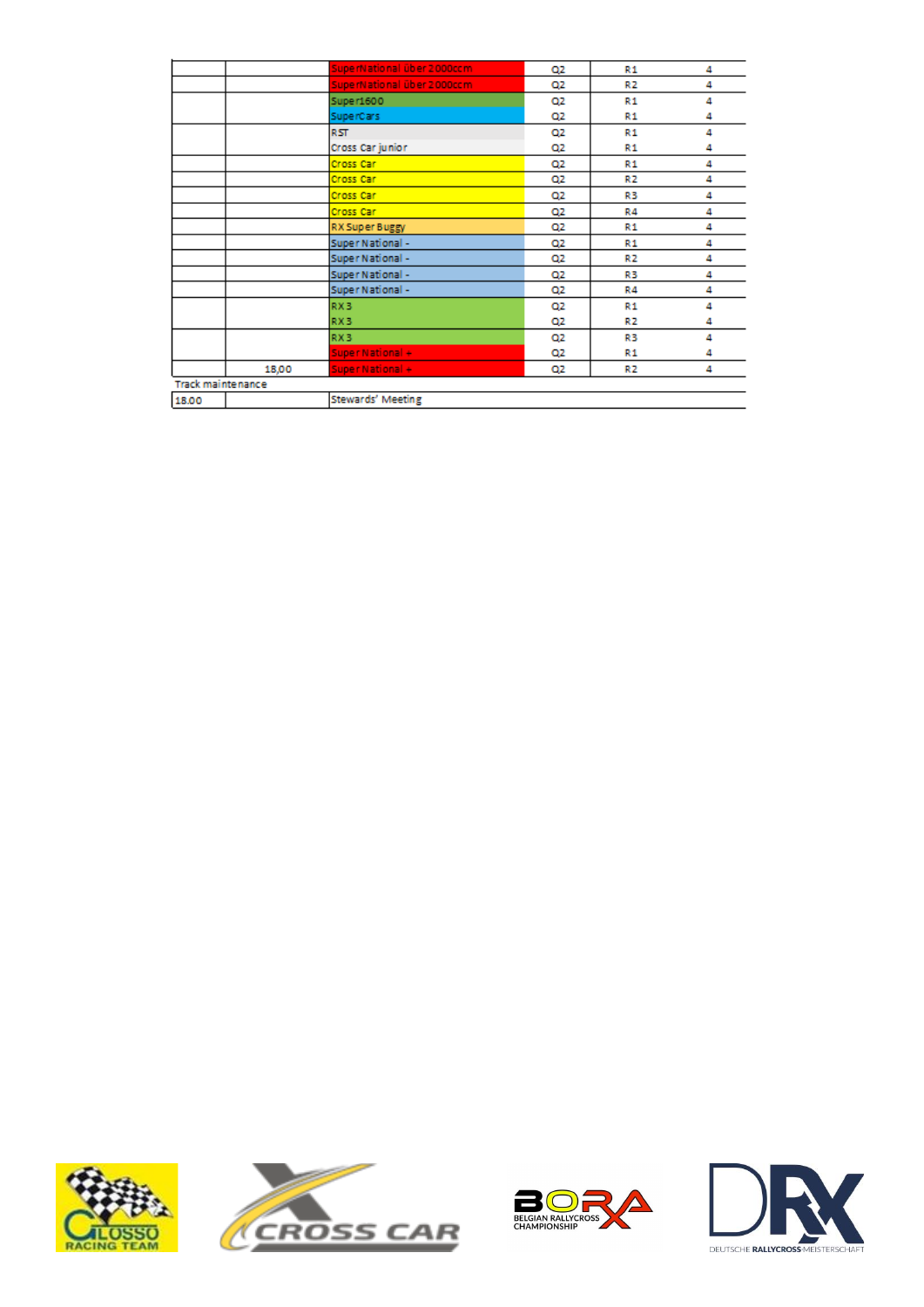|                          |       | SuperNational über 2000ccm | Q2 | R1 | 4 |
|--------------------------|-------|----------------------------|----|----|---|
|                          |       | SuperNational über 2000ccm | Q2 | R2 | 4 |
|                          |       | Super1600                  | Q2 | R1 | 4 |
|                          |       | SuperCars                  | Q2 | R1 | 4 |
|                          |       | RST.                       | Q2 | R1 | 4 |
|                          |       | Cross Car junior           | Q2 | R1 | 4 |
|                          |       | Cross Car                  | Q2 | R1 | 4 |
|                          |       | Cross Car                  | Q2 | R2 | 4 |
|                          |       | Cross Car                  | Q2 | R3 | 4 |
|                          |       | Cross Car                  | Q2 | R4 | 4 |
|                          |       | RX Super Buggy             | Q2 | R1 | 4 |
|                          |       | Super National -           | Q2 | R1 | 4 |
|                          |       | Super National -           | Q2 | R2 | 4 |
|                          |       | Super National -           | Q2 | R3 | 4 |
|                          |       | Super National -           | Q2 | R4 | 4 |
|                          |       | RX3                        | Q2 | R1 | 4 |
|                          |       | RX3                        | Q2 | R2 | 4 |
|                          |       | RX3                        | Q2 | R3 | 4 |
|                          |       | Super National +           | Q2 | R1 | 4 |
|                          | 18,00 | Super National +           | Q2 | R2 | 4 |
| <b>Track maintenance</b> |       |                            |    |    |   |
| 18.00                    |       | Stewards' Meeting          |    |    |   |
|                          |       |                            |    |    |   |